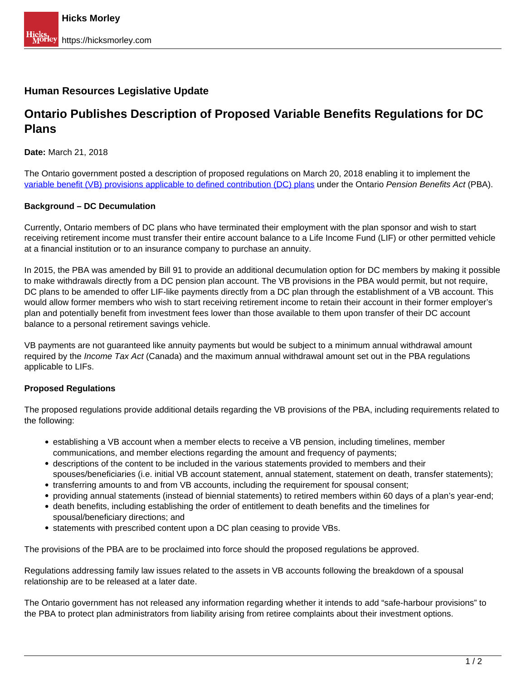## **Human Resources Legislative Update**

## **Ontario Publishes Description of Proposed Variable Benefits Regulations for DC Plans**

**Date:** March 21, 2018

The Ontario government posted a description of proposed regulations on March 20, 2018 enabling it to implement the [variable benefit \(VB\) provisions applicable to defined contribution \(DC\) plans](http://www.ontariocanada.com/registry/view.do?postingId=27207&language=en) under the Ontario Pension Benefits Act (PBA).

## **Background – DC Decumulation**

Currently, Ontario members of DC plans who have terminated their employment with the plan sponsor and wish to start receiving retirement income must transfer their entire account balance to a Life Income Fund (LIF) or other permitted vehicle at a financial institution or to an insurance company to purchase an annuity.

In 2015, the PBA was amended by Bill 91 to provide an additional decumulation option for DC members by making it possible to make withdrawals directly from a DC pension plan account. The VB provisions in the PBA would permit, but not require, DC plans to be amended to offer LIF-like payments directly from a DC plan through the establishment of a VB account. This would allow former members who wish to start receiving retirement income to retain their account in their former employer's plan and potentially benefit from investment fees lower than those available to them upon transfer of their DC account balance to a personal retirement savings vehicle.

VB payments are not guaranteed like annuity payments but would be subject to a minimum annual withdrawal amount required by the *Income Tax Act* (Canada) and the maximum annual withdrawal amount set out in the PBA regulations applicable to LIFs.

## **Proposed Regulations**

The proposed regulations provide additional details regarding the VB provisions of the PBA, including requirements related to the following:

- establishing a VB account when a member elects to receive a VB pension, including timelines, member communications, and member elections regarding the amount and frequency of payments;
- descriptions of the content to be included in the various statements provided to members and their spouses/beneficiaries (i.e. initial VB account statement, annual statement, statement on death, transfer statements);
- transferring amounts to and from VB accounts, including the requirement for spousal consent;
- providing annual statements (instead of biennial statements) to retired members within 60 days of a plan's year-end;
- death benefits, including establishing the order of entitlement to death benefits and the timelines for spousal/beneficiary directions; and
- statements with prescribed content upon a DC plan ceasing to provide VBs.

The provisions of the PBA are to be proclaimed into force should the proposed regulations be approved.

Regulations addressing family law issues related to the assets in VB accounts following the breakdown of a spousal relationship are to be released at a later date.

The Ontario government has not released any information regarding whether it intends to add "safe-harbour provisions" to the PBA to protect plan administrators from liability arising from retiree complaints about their investment options.